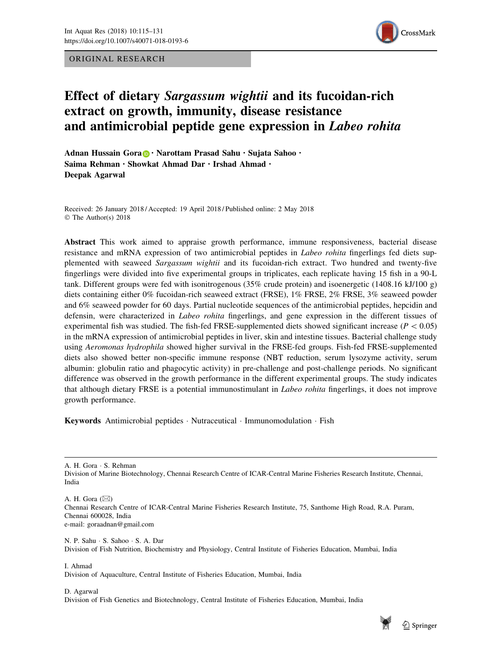ORIGINAL RESEARCH



# Effect of dietary Sargassum wightii and its fucoidan-rich extract on growth, immunity, disease resistance and antimicrobial peptide gene expression in Labeo rohita

Adnan Hussain Gora **[.](http://orcid.org/0000-0001-6207-9410)** Narottam Prasad Sahu . Sujata Sahoo . Saima Rehman · Showkat Ahmad Dar · Irshad Ahmad · Deepak Agarwal

Received: 26 January 2018 / Accepted: 19 April 2018 / Published online: 2 May 2018 © The Author(s) 2018

Abstract This work aimed to appraise growth performance, immune responsiveness, bacterial disease resistance and mRNA expression of two antimicrobial peptides in Labeo rohita fingerlings fed diets supplemented with seaweed Sargassum wightii and its fucoidan-rich extract. Two hundred and twenty-five fingerlings were divided into five experimental groups in triplicates, each replicate having 15 fish in a 90-L tank. Different groups were fed with isonitrogenous (35% crude protein) and isoenergetic (1408.16 kJ/100 g) diets containing either 0% fucoidan-rich seaweed extract (FRSE), 1% FRSE, 2% FRSE, 3% seaweed powder and 6% seaweed powder for 60 days. Partial nucleotide sequences of the antimicrobial peptides, hepcidin and defensin, were characterized in Labeo rohita fingerlings, and gene expression in the different tissues of experimental fish was studied. The fish-fed FRSE-supplemented diets showed significant increase ( $P < 0.05$ ) in the mRNA expression of antimicrobial peptides in liver, skin and intestine tissues. Bacterial challenge study using Aeromonas hydrophila showed higher survival in the FRSE-fed groups. Fish-fed FRSE-supplemented diets also showed better non-specific immune response (NBT reduction, serum lysozyme activity, serum albumin: globulin ratio and phagocytic activity) in pre-challenge and post-challenge periods. No significant difference was observed in the growth performance in the different experimental groups. The study indicates that although dietary FRSE is a potential immunostimulant in Labeo rohita fingerlings, it does not improve growth performance.

Keywords Antimicrobial peptides · Nutraceutical · Immunomodulation · Fish

A. H. Gora  $(\boxtimes)$ Chennai Research Centre of ICAR-Central Marine Fisheries Research Institute, 75, Santhome High Road, R.A. Puram, Chennai 600028, India e-mail: goraadnan@gmail.com

N. P. Sahu - S. Sahoo - S. A. Dar Division of Fish Nutrition, Biochemistry and Physiology, Central Institute of Fisheries Education, Mumbai, India

I. Ahmad Division of Aquaculture, Central Institute of Fisheries Education, Mumbai, India

D. Agarwal Division of Fish Genetics and Biotechnology, Central Institute of Fisheries Education, Mumbai, India



A. H. Gora - S. Rehman

Division of Marine Biotechnology, Chennai Research Centre of ICAR-Central Marine Fisheries Research Institute, Chennai, India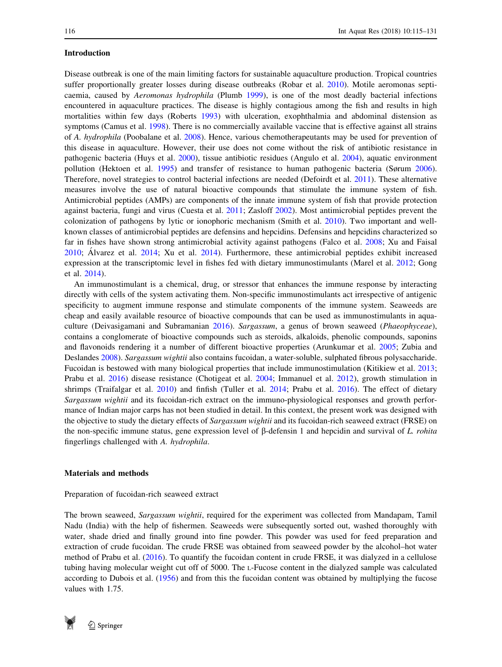#### Introduction

Disease outbreak is one of the main limiting factors for sustainable aquaculture production. Tropical countries suffer proportionally greater losses during disease outbreaks (Robar et al. [2010](#page-15-0)). Motile aeromonas septicaemia, caused by Aeromonas hydrophila (Plumb [1999](#page-15-0)), is one of the most deadly bacterial infections encountered in aquaculture practices. The disease is highly contagious among the fish and results in high mortalities within few days (Roberts [1993\)](#page-15-0) with ulceration, exophthalmia and abdominal distension as symptoms (Camus et al. [1998\)](#page-14-0). There is no commercially available vaccine that is effective against all strains of A. hydrophila (Poobalane et al. [2008\)](#page-15-0). Hence, various chemotherapeutants may be used for prevention of this disease in aquaculture. However, their use does not come without the risk of antibiotic resistance in pathogenic bacteria (Huys et al. [2000\)](#page-14-0), tissue antibiotic residues (Angulo et al. [2004](#page-13-0)), aquatic environment pollution (Hektoen et al. [1995\)](#page-14-0) and transfer of resistance to human pathogenic bacteria (Sørum [2006\)](#page-15-0). Therefore, novel strategies to control bacterial infections are needed (Defoirdt et al. [2011\)](#page-14-0). These alternative measures involve the use of natural bioactive compounds that stimulate the immune system of fish. Antimicrobial peptides (AMPs) are components of the innate immune system of fish that provide protection against bacteria, fungi and virus (Cuesta et al. [2011;](#page-14-0) Zasloff [2002\)](#page-16-0). Most antimicrobial peptides prevent the colonization of pathogens by lytic or ionophoric mechanism (Smith et al. [2010\)](#page-15-0). Two important and wellknown classes of antimicrobial peptides are defensins and hepcidins. Defensins and hepcidins characterized so far in fishes have shown strong antimicrobial activity against pathogens (Falco et al. [2008;](#page-14-0) Xu and Faisal  $2010$ ; Alvarez et al.  $2014$ ; Xu et al.  $2014$ ). Furthermore, these antimicrobial peptides exhibit increased expression at the transcriptomic level in fishes fed with dietary immunostimulants (Marel et al. [2012](#page-15-0); Gong et al. [2014](#page-14-0)).

An immunostimulant is a chemical, drug, or stressor that enhances the immune response by interacting directly with cells of the system activating them. Non-specific immunostimulants act irrespective of antigenic specificity to augment immune response and stimulate components of the immune system. Seaweeds are cheap and easily available resource of bioactive compounds that can be used as immunostimulants in aquaculture (Deivasigamani and Subramanian [2016\)](#page-14-0). Sargassum, a genus of brown seaweed (Phaeophyceae), contains a conglomerate of bioactive compounds such as steroids, alkaloids, phenolic compounds, saponins and flavonoids rendering it a number of different bioactive properties (Arunkumar et al. [2005](#page-13-0); Zubia and Deslandes [2008\)](#page-16-0). Sargassum wightii also contains fucoidan, a water-soluble, sulphated fibrous polysaccharide. Fucoidan is bestowed with many biological properties that include immunostimulation (Kitikiew et al. [2013;](#page-14-0) Prabu et al. [2016\)](#page-15-0) disease resistance (Chotigeat et al. [2004;](#page-14-0) Immanuel et al. [2012\)](#page-14-0), growth stimulation in shrimps (Traifalgar et al. [2010](#page-15-0)) and finfish (Tuller et al. [2014](#page-15-0); Prabu et al. [2016\)](#page-15-0). The effect of dietary Sargassum wightii and its fucoidan-rich extract on the immuno-physiological responses and growth performance of Indian major carps has not been studied in detail. In this context, the present work was designed with the objective to study the dietary effects of *Sargassum wightii* and its fucoidan-rich seaweed extract (FRSE) on the non-specific immune status, gene expression level of  $\beta$ -defensin 1 and hepcidin and survival of L. rohita fingerlings challenged with A. hydrophila.

#### Materials and methods

#### Preparation of fucoidan-rich seaweed extract

The brown seaweed, Sargassum wightii, required for the experiment was collected from Mandapam, Tamil Nadu (India) with the help of fishermen. Seaweeds were subsequently sorted out, washed thoroughly with water, shade dried and finally ground into fine powder. This powder was used for feed preparation and extraction of crude fucoidan. The crude FRSE was obtained from seaweed powder by the alcohol–hot water method of Prabu et al. ([2016\)](#page-15-0). To quantify the fucoidan content in crude FRSE, it was dialyzed in a cellulose tubing having molecular weight cut off of 5000. The L-Fucose content in the dialyzed sample was calculated according to Dubois et al. [\(1956](#page-14-0)) and from this the fucoidan content was obtained by multiplying the fucose values with 1.75.

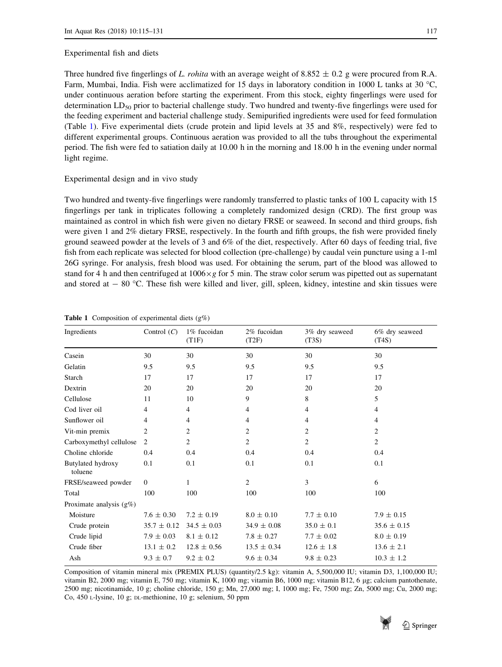## <span id="page-2-0"></span>Experimental fish and diets

Three hundred five fingerlings of L. rohita with an average weight of 8.852  $\pm$  0.2 g were procured from R.A. Farm, Mumbai, India. Fish were acclimatized for 15 days in laboratory condition in 1000 L tanks at 30 °C, under continuous aeration before starting the experiment. From this stock, eighty fingerlings were used for determination  $LD_{50}$  prior to bacterial challenge study. Two hundred and twenty-five fingerlings were used for the feeding experiment and bacterial challenge study. Semipurified ingredients were used for feed formulation (Table 1). Five experimental diets (crude protein and lipid levels at 35 and 8%, respectively) were fed to different experimental groups. Continuous aeration was provided to all the tubs throughout the experimental period. The fish were fed to satiation daily at 10.00 h in the morning and 18.00 h in the evening under normal light regime.

## Experimental design and in vivo study

Two hundred and twenty-five fingerlings were randomly transferred to plastic tanks of 100 L capacity with 15 fingerlings per tank in triplicates following a completely randomized design (CRD). The first group was maintained as control in which fish were given no dietary FRSE or seaweed. In second and third groups, fish were given 1 and 2% dietary FRSE, respectively. In the fourth and fifth groups, the fish were provided finely ground seaweed powder at the levels of 3 and 6% of the diet, respectively. After 60 days of feeding trial, five fish from each replicate was selected for blood collection (pre-challenge) by caudal vein puncture using a 1-ml 26G syringe. For analysis, fresh blood was used. For obtaining the serum, part of the blood was allowed to stand for 4 h and then centrifuged at  $1006 \times g$  for 5 min. The straw color serum was pipetted out as supernatant and stored at  $-80$  °C. These fish were killed and liver, gill, spleen, kidney, intestine and skin tissues were

| Ingredients                  | Control $(C)$   | 1% fucoidan<br>(T1F) | 2% fucoidan<br>(T2F) | 3% dry seaweed<br>(T3S) | 6% dry seaweed<br>(T4S) |
|------------------------------|-----------------|----------------------|----------------------|-------------------------|-------------------------|
| Casein                       | 30              | 30                   | 30                   | 30                      | 30                      |
| Gelatin                      | 9.5             | 9.5                  | 9.5                  | 9.5                     | 9.5                     |
| Starch                       | 17              | 17                   | 17                   | 17                      | 17                      |
| Dextrin                      | 20              | 20                   | 20                   | 20                      | 20                      |
| Cellulose                    | 11              | 10                   | 9                    | 8                       | 5                       |
| Cod liver oil                | 4               | $\overline{4}$       | 4                    | $\overline{4}$          | $\overline{4}$          |
| Sunflower oil                | 4               | $\overline{4}$       | 4                    | $\overline{4}$          | $\overline{4}$          |
| Vit-min premix               | 2               | $\overline{c}$       | 2                    | 2                       | $\overline{2}$          |
| Carboxymethyl cellulose      | 2               | $\overline{2}$       | $\overline{c}$       | 2                       | 2                       |
| Choline chloride             | 0.4             | 0.4                  | 0.4                  | 0.4                     | 0.4                     |
| Butylated hydroxy<br>toluene | 0.1             | 0.1                  | 0.1                  | 0.1                     | 0.1                     |
| FRSE/seaweed powder          | $\mathbf{0}$    | 1                    | $\overline{c}$       | 3                       | 6                       |
| Total                        | 100             | 100                  | 100                  | 100                     | 100                     |
| Proximate analysis $(g\%)$   |                 |                      |                      |                         |                         |
| Moisture                     | $7.6 \pm 0.30$  | $7.2 \pm 0.19$       | $8.0 \pm 0.10$       | $7.7 \pm 0.10$          | $7.9 \pm 0.15$          |
| Crude protein                | $35.7 \pm 0.12$ | $34.5 \pm 0.03$      | $34.9 \pm 0.08$      | $35.0 \pm 0.1$          | $35.6 \pm 0.15$         |
| Crude lipid                  | $7.9 \pm 0.03$  | $8.1\,\pm\,0.12$     | $7.8\,\pm\,0.27$     | $7.7 \pm 0.02$          | $8.0 \pm 0.19$          |
| Crude fiber                  | $13.1 \pm 0.2$  | $12.8 \pm 0.56$      | $13.5 \pm 0.34$      | $12.6 \pm 1.8$          | $13.6 \pm 2.1$          |
| Ash                          | $9.3 \pm 0.7$   | $9.2 \pm 0.2$        | $9.6 \pm 0.34$       | $9.8 \pm 0.23$          | $10.3 \pm 1.2$          |

**Table 1** Composition of experimental diets  $(g\%)$ 

Composition of vitamin mineral mix (PREMIX PLUS) (quantity/2.5 kg): vitamin A, 5,500,000 IU; vitamin D3, 1,100,000 IU; vitamin B2, 2000 mg; vitamin E, 750 mg; vitamin K, 1000 mg; vitamin B6, 1000 mg; vitamin B12, 6 µg; calcium pantothenate, 2500 mg; nicotinamide, 10 g; choline chloride, 150 g; Mn, 27,000 mg; I, 1000 mg; Fe, 7500 mg; Zn, 5000 mg; Cu, 2000 mg; Co, 450 L-lysine, 10 g; DL-methionine, 10 g; selenium, 50 ppm

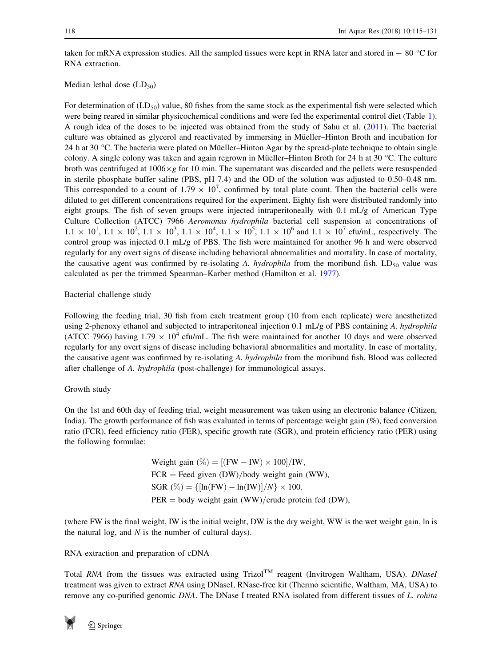taken for mRNA expression studies. All the sampled tissues were kept in RNA later and stored in  $-80$  °C for RNA extraction.

# Median lethal dose  $(LD_{50})$

For determination of  $(LD_{50})$  value, 80 fishes from the same stock as the experimental fish were selected which were being reared in similar physicochemical conditions and were fed the experimental control diet (Table [1\)](#page-2-0). A rough idea of the doses to be injected was obtained from the study of Sahu et al. [\(2011](#page-15-0)). The bacterial culture was obtained as glycerol and reactivated by immersing in Müeller–Hinton Broth and incubation for 24 h at 30  $^{\circ}$ C. The bacteria were plated on Müeller–Hinton Agar by the spread-plate technique to obtain single colony. A single colony was taken and again regrown in Müeller–Hinton Broth for 24 h at 30  $^{\circ}$ C. The culture broth was centrifuged at  $1006 \times g$  for 10 min. The supernatant was discarded and the pellets were resuspended in sterile phosphate buffer saline (PBS, pH 7.4) and the OD of the solution was adjusted to 0.50–0.48 nm. This corresponded to a count of  $1.79 \times 10^7$ , confirmed by total plate count. Then the bacterial cells were diluted to get different concentrations required for the experiment. Eighty fish were distributed randomly into eight groups. The fish of seven groups were injected intraperitoneally with 0.1 mL/g of American Type Culture Collection (ATCC) 7966 Aeromonas hydrophila bacterial cell suspension at concentrations of  $1.1 \times 10^1$ ,  $1.1 \times 10^2$ ,  $1.1 \times 10^3$ ,  $1.1 \times 10^4$ ,  $1.1 \times 10^5$ ,  $1.1 \times 10^6$  and  $1.1 \times 10^7$  cfu/mL, respectively. The control group was injected 0.1 mL/g of PBS. The fish were maintained for another 96 h and were observed regularly for any overt signs of disease including behavioral abnormalities and mortality. In case of mortality, the causative agent was confirmed by re-isolating A. hydrophila from the moribund fish.  $LD_{50}$  value was calculated as per the trimmed Spearman–Karber method (Hamilton et al. [1977\)](#page-14-0).

# Bacterial challenge study

Following the feeding trial, 30 fish from each treatment group (10 from each replicate) were anesthetized using 2-phenoxy ethanol and subjected to intraperitoneal injection 0.1 mL/g of PBS containing A. hydrophila (ATCC 7966) having  $1.79 \times 10^4$  cfu/mL. The fish were maintained for another 10 days and were observed regularly for any overt signs of disease including behavioral abnormalities and mortality. In case of mortality, the causative agent was confirmed by re-isolating A. hydrophila from the moribund fish. Blood was collected after challenge of A. hydrophila (post-challenge) for immunological assays.

# Growth study

On the 1st and 60th day of feeding trial, weight measurement was taken using an electronic balance (Citizen, India). The growth performance of fish was evaluated in terms of percentage weight gain (%), feed conversion ratio (FCR), feed efficiency ratio (FER), specific growth rate (SGR), and protein efficiency ratio (PER) using the following formulae:

> Weight gain  $(\%) = [(FW - IW) \times 100]/IW,$  $FCR = Feed$  given  $(DW)/body$  weight gain (WW),  $SGR (\%) = \{[ln(FW) - ln(IW)]/N\} \times 100,$  $PER = body weight gain (WW)/crude protein fed (DW),$

(where FW is the final weight, IW is the initial weight, DW is the dry weight, WW is the wet weight gain, ln is the natural log, and  $N$  is the number of cultural days).

RNA extraction and preparation of cDNA

Total RNA from the tissues was extracted using Trizol<sup>TM</sup> reagent (Invitrogen Waltham, USA). *DNaseI* treatment was given to extract RNA using DNaseI, RNase-free kit (Thermo scientific, Waltham, MA, USA) to remove any co-purified genomic DNA. The DNase I treated RNA isolated from different tissues of L. rohita

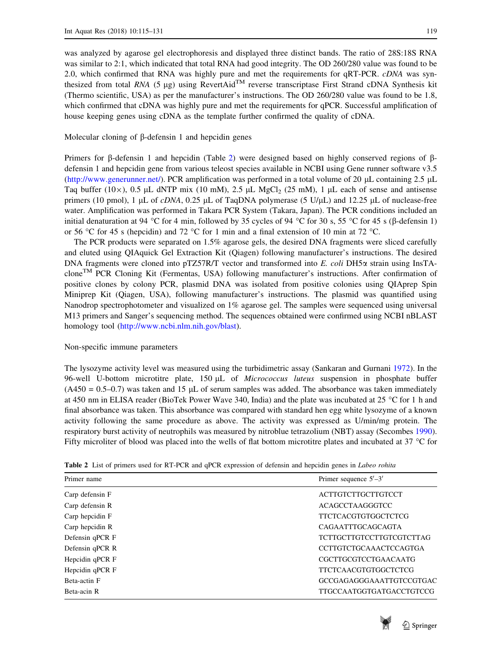was analyzed by agarose gel electrophoresis and displayed three distinct bands. The ratio of 28S:18S RNA was similar to 2:1, which indicated that total RNA had good integrity. The OD 260/280 value was found to be 2.0, which confirmed that RNA was highly pure and met the requirements for qRT-PCR. cDNA was synthesized from total RNA (5 µg) using RevertAid<sup>TM</sup> reverse transcriptase First Strand cDNA Synthesis kit (Thermo scientific, USA) as per the manufacturer's instructions. The OD 260/280 value was found to be 1.8, which confirmed that cDNA was highly pure and met the requirements for qPCR. Successful amplification of house keeping genes using cDNA as the template further confirmed the quality of cDNA.

#### Molecular cloning of  $\beta$ -defensin 1 and hepcidin genes

Primers for  $\beta$ -defensin 1 and hepcidin (Table 2) were designed based on highly conserved regions of  $\beta$ defensin 1 and hepcidin gene from various teleost species available in NCBI using Gene runner software v3.5 (<http://www.generunner.net/>). PCR amplification was performed in a total volume of 20  $\mu$ L containing 2.5  $\mu$ L Taq buffer (10 $\times$ ), 0.5 µL dNTP mix (10 mM), 2.5 µL MgCl<sub>2</sub> (25 mM), 1 µL each of sense and antisense primers (10 pmol), 1 µL of cDNA, 0.25 µL of TaqDNA polymerase (5 U/µL) and 12.25 µL of nuclease-free water. Amplification was performed in Takara PCR System (Takara, Japan). The PCR conditions included an initial denaturation at 94 °C for 4 min, followed by 35 cycles of 94 °C for 30 s, 55 °C for 45 s ( $\beta$ -defensin 1) or 56 °C for 45 s (hepcidin) and 72 °C for 1 min and a final extension of 10 min at 72 °C.

The PCR products were separated on 1.5% agarose gels, the desired DNA fragments were sliced carefully and eluted using QIAquick Gel Extraction Kit (Qiagen) following manufacturer's instructions. The desired DNA fragments were cloned into pTZ57R/T vector and transformed into E. coli DH5 $\alpha$  strain using InsTAclone<sup>TM</sup> PCR Cloning Kit (Fermentas, USA) following manufacturer's instructions. After confirmation of positive clones by colony PCR, plasmid DNA was isolated from positive colonies using QIAprep Spin Miniprep Kit (Qiagen, USA), following manufacturer's instructions. The plasmid was quantified using Nanodrop spectrophotometer and visualized on 1% agarose gel. The samples were sequenced using universal M13 primers and Sanger's sequencing method. The sequences obtained were confirmed using NCBI nBLAST homology tool ([http://www.ncbi.nlm.nih.gov/blast\)](http://www.ncbi.nlm.nih.gov/blast).

#### Non-specific immune parameters

The lysozyme activity level was measured using the turbidimetric assay (Sankaran and Gurnani [1972\)](#page-15-0). In the 96-well U-bottom microtitre plate,  $150 \mu L$  of *Micrococcus luteus* suspension in phosphate buffer  $(A450 = 0.5-0.7)$  was taken and 15 µL of serum samples was added. The absorbance was taken immediately at 450 nm in ELISA reader (BioTek Power Wave 340, India) and the plate was incubated at 25 °C for 1 h and final absorbance was taken. This absorbance was compared with standard hen egg white lysozyme of a known activity following the same procedure as above. The activity was expressed as U/min/mg protein. The respiratory burst activity of neutrophils was measured by nitroblue tetrazolium (NBT) assay (Secombes [1990\)](#page-15-0). Fifty microliter of blood was placed into the wells of flat bottom microtitre plates and incubated at 37  $\degree$ C for

| Primer name     | Primer sequence $5'$ –3'      |
|-----------------|-------------------------------|
| Carp defensin F | <b>ACTTGTCTTGCTTGTCCT</b>     |
| Carp defensin R | <b>ACAGCCTAAGGGTCC</b>        |
| Carp hepcidin F | <b>TTCTCACGTGTGGCTCTCG</b>    |
| Carp hepcidin R | <b>CAGAATTTGCAGCAGTA</b>      |
| Defensin qPCR F | TCTTGCTTGTCCTTGTCGTCTTAG      |
| Defensin qPCR R | <b>CCTTGTCTGCAAACTCCAGTGA</b> |
| Hepcidin qPCR F | <b>CGCTTGCGTCCTGAACAATG</b>   |
| Hepcidin qPCR F | <b>TTCTCAACGTGTGGCTCTCG</b>   |
| Beta-actin F    | GCCGAGAGGGAAATTGTCCGTGAC      |
| Beta-acin R     | TTGCCAATGGTGATGACCTGTCCG      |

Table 2 List of primers used for RT-PCR and qPCR expression of defensin and hepcidin genes in Labeo rohita

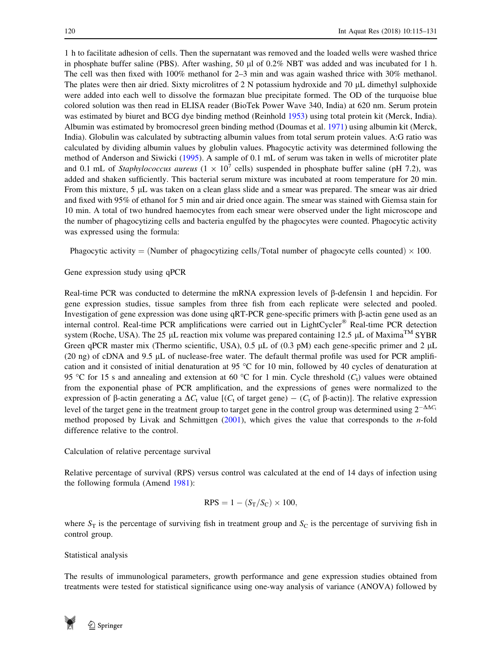1 h to facilitate adhesion of cells. Then the supernatant was removed and the loaded wells were washed thrice in phosphate buffer saline (PBS). After washing, 50  $\mu$ l of 0.2% NBT was added and was incubated for 1 h. The cell was then fixed with 100% methanol for 2–3 min and was again washed thrice with 30% methanol. The plates were then air dried. Sixty microlitres of  $2 N$  potassium hydroxide and  $70 \mu L$  dimethyl sulphoxide were added into each well to dissolve the formazan blue precipitate formed. The OD of the turquoise blue colored solution was then read in ELISA reader (BioTek Power Wave 340, India) at 620 nm. Serum protein was estimated by biuret and BCG dye binding method (Reinhold [1953\)](#page-15-0) using total protein kit (Merck, India). Albumin was estimated by bromocresol green binding method (Doumas et al. [1971\)](#page-14-0) using albumin kit (Merck, India). Globulin was calculated by subtracting albumin values from total serum protein values. A:G ratio was calculated by dividing albumin values by globulin values. Phagocytic activity was determined following the method of Anderson and Siwicki [\(1995](#page-13-0)). A sample of 0.1 mL of serum was taken in wells of microtiter plate and 0.1 mL of *Staphylococcus aureus* (1  $\times$  10<sup>7</sup> cells) suspended in phosphate buffer saline (pH 7.2), was added and shaken sufficiently. This bacterial serum mixture was incubated at room temperature for 20 min. From this mixture,  $5 \mu L$  was taken on a clean glass slide and a smear was prepared. The smear was air dried and fixed with 95% of ethanol for 5 min and air dried once again. The smear was stained with Giemsa stain for 10 min. A total of two hundred haemocytes from each smear were observed under the light microscope and the number of phagocytizing cells and bacteria engulfed by the phagocytes were counted. Phagocytic activity was expressed using the formula:

Phagocytic activity = (Number of phagocytizing cells/Total number of phagocyte cells counted)  $\times$  100.

Gene expression study using qPCR

Real-time PCR was conducted to determine the mRNA expression levels of  $\beta$ -defensin 1 and hepcidin. For gene expression studies, tissue samples from three fish from each replicate were selected and pooled. Investigation of gene expression was done using qRT-PCR gene-specific primers with  $\beta$ -actin gene used as an internal control. Real-time PCR amplifications were carried out in LightCycler® Real-time PCR detection system (Roche, USA). The 25  $\mu$ L reaction mix volume was prepared containing 12.5  $\mu$ L of Maxima<sup>TM</sup> SYBR Green qPCR master mix (Thermo scientific, USA), 0.5  $\mu$ L of (0.3 pM) each gene-specific primer and 2  $\mu$ L (20 ng) of cDNA and 9.5  $\mu$ L of nuclease-free water. The default thermal profile was used for PCR amplification and it consisted of initial denaturation at 95 °C for 10 min, followed by 40 cycles of denaturation at 95 °C for 15 s and annealing and extension at 60 °C for 1 min. Cycle threshold  $(C_t)$  values were obtained from the exponential phase of PCR amplification, and the expressions of genes were normalized to the expression of  $\beta$ -actin generating a  $\Delta C_t$  value  $[(C_t \text{ of target gene}) - (C_t \text{ of } \beta\text{-actin})]$ . The relative expression level of the target gene in the treatment group to target gene in the control group was determined using  $2^{-\Delta\Delta C_t}$ method proposed by Livak and Schmittgen  $(2001)$  $(2001)$ , which gives the value that corresponds to the *n*-fold difference relative to the control.

Calculation of relative percentage survival

Relative percentage of survival (RPS) versus control was calculated at the end of 14 days of infection using the following formula (Amend [1981](#page-13-0)):

$$
RPS = 1 - (S_T/S_C) \times 100,
$$

where  $S_T$  is the percentage of surviving fish in treatment group and  $S_C$  is the percentage of surviving fish in control group.

Statistical analysis

The results of immunological parameters, growth performance and gene expression studies obtained from treatments were tested for statistical significance using one-way analysis of variance (ANOVA) followed by

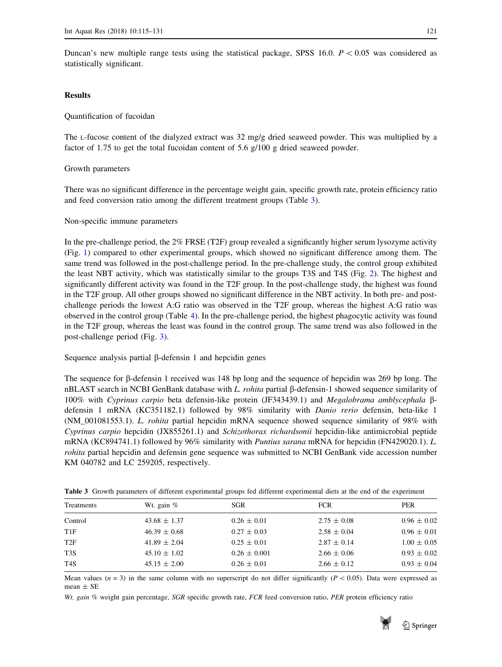Duncan's new multiple range tests using the statistical package. SPSS 16.0,  $P \le 0.05$  was considered as statistically significant.

#### Results

## Quantification of fucoidan

The L-fucose content of the dialyzed extract was 32 mg/g dried seaweed powder. This was multiplied by a factor of 1.75 to get the total fucoidan content of 5.6 g/100 g dried seaweed powder.

## Growth parameters

There was no significant difference in the percentage weight gain, specific growth rate, protein efficiency ratio and feed conversion ratio among the different treatment groups (Table 3).

## Non-specific immune parameters

In the pre-challenge period, the 2% FRSE (T2F) group revealed a significantly higher serum lysozyme activity (Fig. [1\)](#page-7-0) compared to other experimental groups, which showed no significant difference among them. The same trend was followed in the post-challenge period. In the pre-challenge study, the control group exhibited the least NBT activity, which was statistically similar to the groups T3S and T4S (Fig. [2\)](#page-7-0). The highest and significantly different activity was found in the T2F group. In the post-challenge study, the highest was found in the T2F group. All other groups showed no significant difference in the NBT activity. In both pre- and postchallenge periods the lowest A:G ratio was observed in the T2F group, whereas the highest A:G ratio was observed in the control group (Table [4](#page-8-0)). In the pre-challenge period, the highest phagocytic activity was found in the T2F group, whereas the least was found in the control group. The same trend was also followed in the post-challenge period (Fig. [3\)](#page-9-0).

## Sequence analysis partial  $\beta$ -defensin 1 and hepcidin genes

The sequence for  $\beta$ -defensin 1 received was 148 bp long and the sequence of hepcidin was 269 bp long. The nBLAST search in NCBI GenBank database with L. *rohita* partial  $\beta$ -defensin-1 showed sequence similarity of 100% with Cyprinus carpio beta defensin-like protein (JF343439.1) and Megalobrama amblycephala bdefensin 1 mRNA (KC351182.1) followed by 98% similarity with Danio rerio defensin, beta-like 1 (NM\_001081553.1). L. rohita partial hepcidin mRNA sequence showed sequence similarity of 98% with Cyprinus carpio hepcidin (JX855261.1) and Schizothorax richardsonii hepcidin-like antimicrobial peptide mRNA (KC894741.1) followed by 96% similarity with Puntius sarana mRNA for hepcidin (FN429020.1). L. rohita partial hepcidin and defensin gene sequence was submitted to NCBI GenBank vide accession number KM 040782 and LC 259205, respectively.

| Wt. gain $%$     | <b>SGR</b>       | <b>FCR</b>      | <b>PER</b>                                                                                                             |
|------------------|------------------|-----------------|------------------------------------------------------------------------------------------------------------------------|
| $43.68 \pm 1.37$ | $0.26 \pm 0.01$  | $2.75 \pm 0.08$ | $0.96 \pm 0.02$                                                                                                        |
| $46.39 \pm 0.68$ | $0.27 \pm 0.03$  | $2.58 \pm 0.04$ | $0.96 \pm 0.01$                                                                                                        |
| $41.89 \pm 2.04$ | $0.25 \pm 0.01$  | $2.87 \pm 0.14$ | $1.00 \pm 0.05$                                                                                                        |
| $45.10 \pm 1.02$ | $0.26 \pm 0.001$ | $2.66 \pm 0.06$ | $0.93 \pm 0.02$                                                                                                        |
| $45.15 \pm 2.00$ | $0.26 \pm 0.01$  | $2.66 \pm 0.12$ | $0.93 \pm 0.04$                                                                                                        |
|                  |                  |                 | <u>racie o crowin parameters or university experimental groups red university experimental divis at the experiment</u> |

Table 3 Growth parameters of different experimental groups fed different experimental diets at the end of the experiment

Mean values ( $n = 3$ ) in the same column with no superscript do not differ significantly ( $P \lt 0.05$ ). Data were expressed as mean  $\pm$  SE

Wt. gain % weight gain percentage, SGR specific growth rate, FCR feed conversion ratio, PER protein efficiency ratio

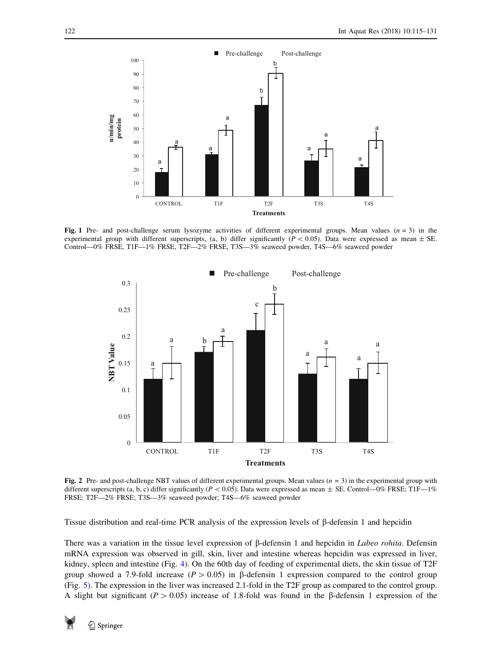<span id="page-7-0"></span>

Fig. 1 Pre- and post-challenge serum lysozyme activities of different experimental groups. Mean values  $(n = 3)$  in the experimental group with different superscripts, (a, b) differ significantly ( $P < 0.05$ ). Data were expressed as mean  $\pm$  SE. Control—0% FRSE, T1F—1% FRSE, T2F—2% FRSE, T3S—3% seaweed powder, T4S—6% seaweed powder



Fig. 2 Pre- and post-challenge NBT values of different experimental groups. Mean values ( $n = 3$ ) in the experimental group with different superscripts (a, b, c) differ significantly ( $P < 0.05$ ). Data were expressed as mean  $\pm$  SE. Control—0% FRSE; T1F—1% FRSE; T2F—2% FRSE; T3S—3% seaweed powder; T4S—6% seaweed powder

Tissue distribution and real-time PCR analysis of the expression levels of  $\beta$ -defensin 1 and hepcidin

There was a variation in the tissue level expression of  $\beta$ -defensin 1 and hepcidin in *Labeo rohita*. Defensin mRNA expression was observed in gill, skin, liver and intestine whereas hepcidin was expressed in liver, kidney, spleen and intestine (Fig. [4](#page-9-0)). On the 60th day of feeding of experimental diets, the skin tissue of T2F group showed a 7.9-fold increase ( $P > 0.05$ ) in  $\beta$ -defensin 1 expression compared to the control group (Fig. [5\)](#page-10-0). The expression in the liver was increased 2.1-fold in the T2F group as compared to the control group. A slight but significant ( $P > 0.05$ ) increase of 1.8-fold was found in the  $\beta$ -defensin 1 expression of the

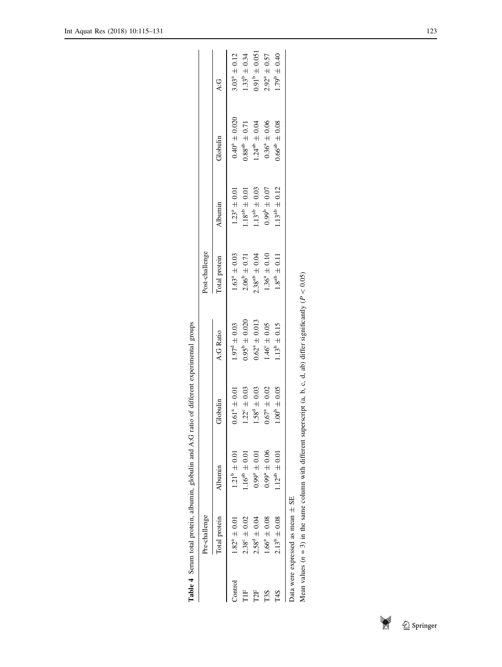<span id="page-8-0"></span>

|                                 | Pre-challenge                        |                         |                         |                                                                                                                            | Post-challenge          |                        |                      |                                                     |
|---------------------------------|--------------------------------------|-------------------------|-------------------------|----------------------------------------------------------------------------------------------------------------------------|-------------------------|------------------------|----------------------|-----------------------------------------------------|
|                                 | Total protein                        | Albumin                 | Globulin                | A:G Ratio                                                                                                                  | Total protein           | Albumin                | Globulin             | ن<br>نم                                             |
| $\mathop{\rm Control}\nolimits$ | $1.82^{\circ} \pm 0.01$              | $1.21^{\rm b} \pm 0.01$ | $0.61^a \pm 0.01$       | $1.97^d \pm 0.03$                                                                                                          | $1.63^a \pm 0.03$       | $1.23^a \pm 0.01$      | $0.40^a \pm 0.020$   | $3.03^a \pm 0.12$                                   |
| Ë                               | $2.38^{\circ} \pm 0.02$              | $.16^{ab} \pm 0.01$     | $1.22^{\circ} \pm 0.03$ | $+ 0.020$<br>$0.95^b$ :                                                                                                    | $2.06^{\circ} \pm 0.71$ | $18^{ab} \pm 0.01$     | $0.88^{ab} \pm 0.71$ | $1.33^{\rm b} \pm 0.34$<br>$0.91^{\rm b} \pm 0.051$ |
|                                 | $2.58^d \pm 0.04$                    | $0.99^a \pm 0.01$       | $1.58^d \pm 0.03$       | $0.62^{\circ} \pm 0.013$                                                                                                   | $2.38^{ab} \pm 0.04$    | $13^{ab} \pm 0.03$     | $1.24^{ab} \pm 0.04$ |                                                     |
| T3S                             | $1.66^a \pm 0.08$                    | $0.99^a \pm 0.06$       | $0.67^a \pm 0.02$       | $1.46^{\circ} \pm 0.05$                                                                                                    | $1.36^a \pm 0.10$       | $\pm$ 0.07<br>$0.99^b$ | $0.36^a \pm 0.06$    | $2.92^a \pm 0.57$                                   |
| T4S                             | $2.13^b \pm 0.08$                    | $12^{ab} \pm 0.01$      | $1.00^{b} \pm 0.05$     | $1.13^b \pm 0.15$                                                                                                          | $1.8^{ab} \pm 0.11$     | $1.13^{ab} \pm 0.12$   | $0.66^{ab} \pm 0.08$ | $0.79^{\circ} \pm 0.40$                             |
|                                 | Data were expressed as mean $\pm$ SE |                         |                         | Mean values ( $n = 3$ ) in the same column with different superscript (a, b, c, d, ab) differ significantly ( $P < 0.05$ ) |                         |                        |                      |                                                     |

Table 4 Serum total protein, albumin, globulin and A:G ratio of different experimental groups Table 4 Serum total protein, albumin, globulin and A:G ratio of different experimental groups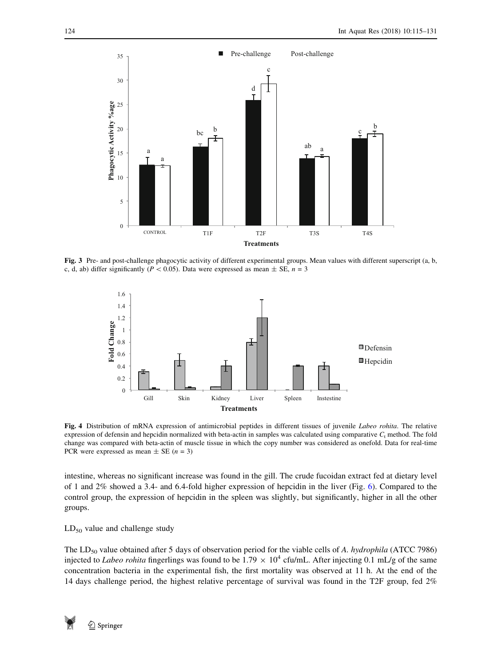<span id="page-9-0"></span>

Fig. 3 Pre- and post-challenge phagocytic activity of different experimental groups. Mean values with different superscript (a, b, c, d, ab) differ significantly ( $P < 0.05$ ). Data were expressed as mean  $\pm$  SE,  $n = 3$ 



Fig. 4 Distribution of mRNA expression of antimicrobial peptides in different tissues of juvenile Labeo rohita. The relative expression of defensin and hepcidin normalized with beta-actin in samples was calculated using comparative  $C_t$  method. The fold change was compared with beta-actin of muscle tissue in which the copy number was considered as onefold. Data for real-time PCR were expressed as mean  $\pm$  SE (*n* = 3)

intestine, whereas no significant increase was found in the gill. The crude fucoidan extract fed at dietary level of 1 and 2% showed a 3.4- and 6.4-fold higher expression of hepcidin in the liver (Fig. [6\)](#page-10-0). Compared to the control group, the expression of hepcidin in the spleen was slightly, but significantly, higher in all the other groups.

 $LD_{50}$  value and challenge study

The  $LD_{50}$  value obtained after 5 days of observation period for the viable cells of A. hydrophila (ATCC 7986) injected to Labeo rohita fingerlings was found to be 1.79  $\times$  10<sup>4</sup> cfu/mL. After injecting 0.1 mL/g of the same concentration bacteria in the experimental fish, the first mortality was observed at 11 h. At the end of the 14 days challenge period, the highest relative percentage of survival was found in the T2F group, fed 2%

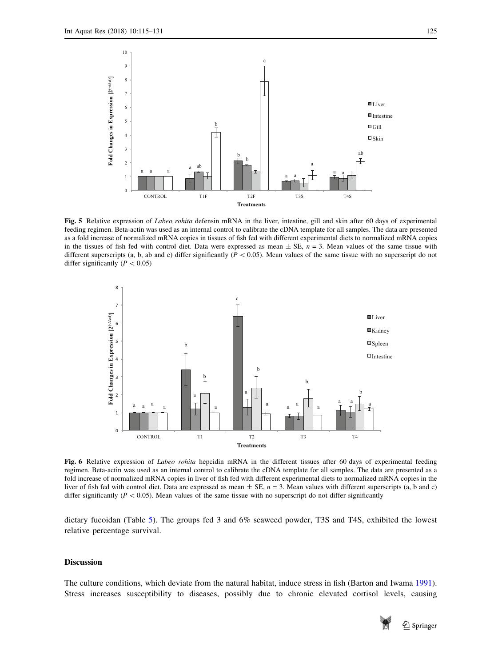<span id="page-10-0"></span>

Fig. 5 Relative expression of Labeo rohita defensin mRNA in the liver, intestine, gill and skin after 60 days of experimental feeding regimen. Beta-actin was used as an internal control to calibrate the cDNA template for all samples. The data are presented as a fold increase of normalized mRNA copies in tissues of fish fed with different experimental diets to normalized mRNA copies in the tissues of fish fed with control diet. Data were expressed as mean  $\pm$  SE,  $n = 3$ . Mean values of the same tissue with different superscripts (a, b, ab and c) differ significantly ( $P \lt 0.05$ ). Mean values of the same tissue with no superscript do not differ significantly ( $P < 0.05$ )



Fig. 6 Relative expression of *Labeo rohita* hepcidin mRNA in the different tissues after 60 days of experimental feeding regimen. Beta-actin was used as an internal control to calibrate the cDNA template for all samples. The data are presented as a fold increase of normalized mRNA copies in liver of fish fed with different experimental diets to normalized mRNA copies in the liver of fish fed with control diet. Data are expressed as mean  $\pm$  SE,  $n = 3$ . Mean values with different superscripts (a, b and c) differ significantly ( $P \lt 0.05$ ). Mean values of the same tissue with no superscript do not differ significantly

dietary fucoidan (Table [5](#page-11-0)). The groups fed 3 and 6% seaweed powder, T3S and T4S, exhibited the lowest relative percentage survival.

## Discussion

The culture conditions, which deviate from the natural habitat, induce stress in fish (Barton and Iwama [1991\)](#page-14-0). Stress increases susceptibility to diseases, possibly due to chronic elevated cortisol levels, causing

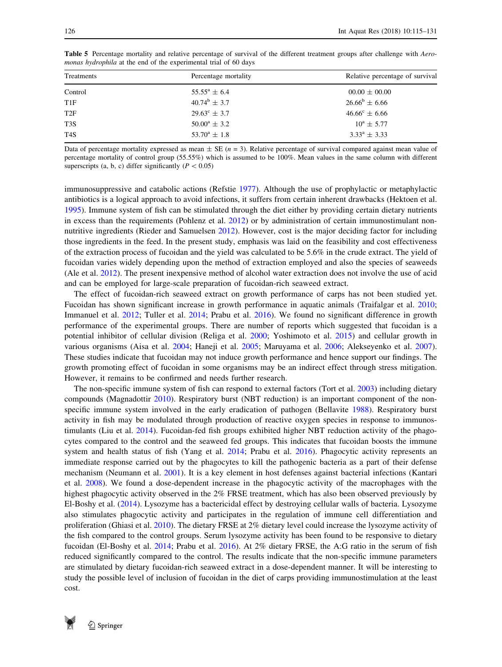| Treatments       | Percentage mortality    | Relative percentage of survival |
|------------------|-------------------------|---------------------------------|
| Control          | $55.55^{\rm a} \pm 6.4$ | $00.00 \pm 00.00$               |
| T <sub>1F</sub>  | $40.74^b \pm 3.7$       | $26.66^b \pm 6.66$              |
| T <sub>2F</sub>  | $29.63^{\circ} \pm 3.7$ | $46.66^{\circ} \pm 6.66$        |
| T <sub>3</sub> S | $50.00^a \pm 3.2$       | $10^a \pm 5.77$                 |
| T <sub>4</sub> S | $53.70^{\rm a} \pm 1.8$ | $3.33^a \pm 3.33$               |

<span id="page-11-0"></span>Table 5 Percentage mortality and relative percentage of survival of the different treatment groups after challenge with Aeromonas hydrophila at the end of the experimental trial of 60 days

Data of percentage mortality expressed as mean  $\pm$  SE ( $n = 3$ ). Relative percentage of survival compared against mean value of percentage mortality of control group (55.55%) which is assumed to be 100%. Mean values in the same column with different superscripts (a, b, c) differ significantly ( $P < 0.05$ )

immunosuppressive and catabolic actions (Refstie [1977\)](#page-15-0). Although the use of prophylactic or metaphylactic antibiotics is a logical approach to avoid infections, it suffers from certain inherent drawbacks (Hektoen et al. [1995](#page-14-0)). Immune system of fish can be stimulated through the diet either by providing certain dietary nutrients in excess than the requirements (Pohlenz et al. [2012](#page-15-0)) or by administration of certain immunostimulant nonnutritive ingredients (Rieder and Samuelsen [2012\)](#page-15-0). However, cost is the major deciding factor for including those ingredients in the feed. In the present study, emphasis was laid on the feasibility and cost effectiveness of the extraction process of fucoidan and the yield was calculated to be 5.6% in the crude extract. The yield of fucoidan varies widely depending upon the method of extraction employed and also the species of seaweeds (Ale et al. [2012](#page-13-0)). The present inexpensive method of alcohol water extraction does not involve the use of acid and can be employed for large-scale preparation of fucoidan-rich seaweed extract.

The effect of fucoidan-rich seaweed extract on growth performance of carps has not been studied yet. Fucoidan has shown significant increase in growth performance in aquatic animals (Traifalgar et al. [2010;](#page-15-0) Immanuel et al. [2012](#page-14-0); Tuller et al. [2014](#page-15-0); Prabu et al. [2016\)](#page-15-0). We found no significant difference in growth performance of the experimental groups. There are number of reports which suggested that fucoidan is a potential inhibitor of cellular division (Religa et al. [2000;](#page-15-0) Yoshimoto et al. [2015\)](#page-16-0) and cellular growth in various organisms (Aisa et al. [2004;](#page-13-0) Haneji et al. [2005;](#page-14-0) Maruyama et al. [2006](#page-15-0); Alekseyenko et al. [2007\)](#page-13-0). These studies indicate that fucoidan may not induce growth performance and hence support our findings. The growth promoting effect of fucoidan in some organisms may be an indirect effect through stress mitigation. However, it remains to be confirmed and needs further research.

The non-specific immune system of fish can respond to external factors (Tort et al. [2003](#page-15-0)) including dietary compounds (Magnadottir [2010\)](#page-15-0). Respiratory burst (NBT reduction) is an important component of the nonspecific immune system involved in the early eradication of pathogen (Bellavite [1988\)](#page-14-0). Respiratory burst activity in fish may be modulated through production of reactive oxygen species in response to immunostimulants (Liu et al. [2014\)](#page-15-0). Fucoidan-fed fish groups exhibited higher NBT reduction activity of the phagocytes compared to the control and the seaweed fed groups. This indicates that fucoidan boosts the immune system and health status of fish (Yang et al. [2014](#page-16-0); Prabu et al. [2016\)](#page-15-0). Phagocytic activity represents an immediate response carried out by the phagocytes to kill the pathogenic bacteria as a part of their defense mechanism (Neumann et al. [2001\)](#page-15-0). It is a key element in host defenses against bacterial infections (Kantari et al. [2008\)](#page-14-0). We found a dose-dependent increase in the phagocytic activity of the macrophages with the highest phagocytic activity observed in the 2% FRSE treatment, which has also been observed previously by El-Boshy et al. ([2014\)](#page-14-0). Lysozyme has a bactericidal effect by destroying cellular walls of bacteria. Lysozyme also stimulates phagocytic activity and participates in the regulation of immune cell differentiation and proliferation (Ghiasi et al. [2010\)](#page-14-0). The dietary FRSE at 2% dietary level could increase the lysozyme activity of the fish compared to the control groups. Serum lysozyme activity has been found to be responsive to dietary fucoidan (El-Boshy et al. [2014](#page-14-0); Prabu et al. [2016\)](#page-15-0). At 2% dietary FRSE, the A:G ratio in the serum of fish reduced significantly compared to the control. The results indicate that the non-specific immune parameters are stimulated by dietary fucoidan-rich seaweed extract in a dose-dependent manner. It will be interesting to study the possible level of inclusion of fucoidan in the diet of carps providing immunostimulation at the least cost.

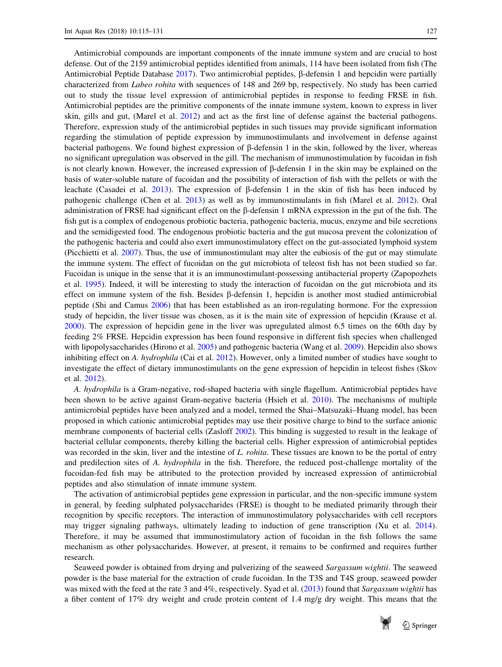Antimicrobial compounds are important components of the innate immune system and are crucial to host defense. Out of the 2159 antimicrobial peptides identified from animals, 114 have been isolated from fish (The Antimicrobial Peptide Database [2017\)](#page-15-0). Two antimicrobial peptides,  $\beta$ -defensin 1 and hepcidin were partially characterized from Labeo rohita with sequences of 148 and 269 bp, respectively. No study has been carried out to study the tissue level expression of antimicrobial peptides in response to feeding FRSE in fish. Antimicrobial peptides are the primitive components of the innate immune system, known to express in liver skin, gills and gut, (Marel et al. [2012](#page-15-0)) and act as the first line of defense against the bacterial pathogens. Therefore, expression study of the antimicrobial peptides in such tissues may provide significant information regarding the stimulation of peptide expression by immunostimulants and involvement in defense against bacterial pathogens. We found highest expression of  $\beta$ -defensin 1 in the skin, followed by the liver, whereas no significant upregulation was observed in the gill. The mechanism of immunostimulation by fucoidan in fish is not clearly known. However, the increased expression of  $\beta$ -defensin 1 in the skin may be explained on the basis of water-soluble nature of fucoidan and the possibility of interaction of fish with the pellets or with the leachate (Casadei et al. [2013](#page-14-0)). The expression of  $\beta$ -defensin 1 in the skin of fish has been induced by pathogenic challenge (Chen et al. [2013](#page-14-0)) as well as by immunostimulants in fish (Marel et al. [2012](#page-15-0)). Oral administration of FRSE had significant effect on the  $\beta$ -defensin 1 mRNA expression in the gut of the fish. The fish gut is a complex of endogenous probiotic bacteria, pathogenic bacteria, mucus, enzyme and bile secretions and the semidigested food. The endogenous probiotic bacteria and the gut mucosa prevent the colonization of the pathogenic bacteria and could also exert immunostimulatory effect on the gut-associated lymphoid system (Picchietti et al. [2007](#page-15-0)). Thus, the use of immunostimulant may alter the eubiosis of the gut or may stimulate the immune system. The effect of fucoidan on the gut microbiota of teleost fish has not been studied so far. Fucoidan is unique in the sense that it is an immunostimulant-possessing antibacterial property (Zapopozhets et al. [1995\)](#page-16-0). Indeed, it will be interesting to study the interaction of fucoidan on the gut microbiota and its effect on immune system of the fish. Besides  $\beta$ -defensin 1, hepcidin is another most studied antimicrobial peptide (Shi and Camus [2006](#page-15-0)) that has been established as an iron-regulating hormone. For the expression study of hepcidin, the liver tissue was chosen, as it is the main site of expression of hepcidin (Krause et al. [2000](#page-14-0)). The expression of hepcidin gene in the liver was upregulated almost 6.5 times on the 60th day by feeding 2% FRSE. Hepcidin expression has been found responsive in different fish species when challenged with lipopolysaccharides (Hirono et al. [2005](#page-14-0)) and pathogenic bacteria (Wang et al. [2009](#page-16-0)). Hepcidin also shows inhibiting effect on A. hydrophila (Cai et al. [2012](#page-14-0)). However, only a limited number of studies have sought to investigate the effect of dietary immunostimulants on the gene expression of hepcidin in teleost fishes (Skov et al. [2012](#page-15-0)).

A. hydrophila is a Gram-negative, rod-shaped bacteria with single flagellum. Antimicrobial peptides have been shown to be active against Gram-negative bacteria (Hsieh et al. [2010](#page-14-0)). The mechanisms of multiple antimicrobial peptides have been analyzed and a model, termed the Shai–Matsuzaki–Huang model, has been proposed in which cationic antimicrobial peptides may use their positive charge to bind to the surface anionic membrane components of bacterial cells (Zasloff [2002](#page-16-0)). This binding is suggested to result in the leakage of bacterial cellular components, thereby killing the bacterial cells. Higher expression of antimicrobial peptides was recorded in the skin, liver and the intestine of L. rohita. These tissues are known to be the portal of entry and predilection sites of A. hydrophila in the fish. Therefore, the reduced post-challenge mortality of the fucoidan-fed fish may be attributed to the protection provided by increased expression of antimicrobial peptides and also stimulation of innate immune system.

The activation of antimicrobial peptides gene expression in particular, and the non-specific immune system in general, by feeding sulphated polysaccharides (FRSE) is thought to be mediated primarily through their recognition by specific receptors. The interaction of immunostimulatory polysaccharides with cell receptors may trigger signaling pathways, ultimately leading to induction of gene transcription (Xu et al. [2014\)](#page-16-0). Therefore, it may be assumed that immunostimulatory action of fucoidan in the fish follows the same mechanism as other polysaccharides. However, at present, it remains to be confirmed and requires further research.

Seaweed powder is obtained from drying and pulverizing of the seaweed Sargassum wightii. The seaweed powder is the base material for the extraction of crude fucoidan. In the T3S and T4S group, seaweed powder was mixed with the feed at the rate 3 and 4%, respectively. Syad et al. ([2013\)](#page-15-0) found that Sargassum wightii has a fiber content of 17% dry weight and crude protein content of 1.4 mg/g dry weight. This means that the

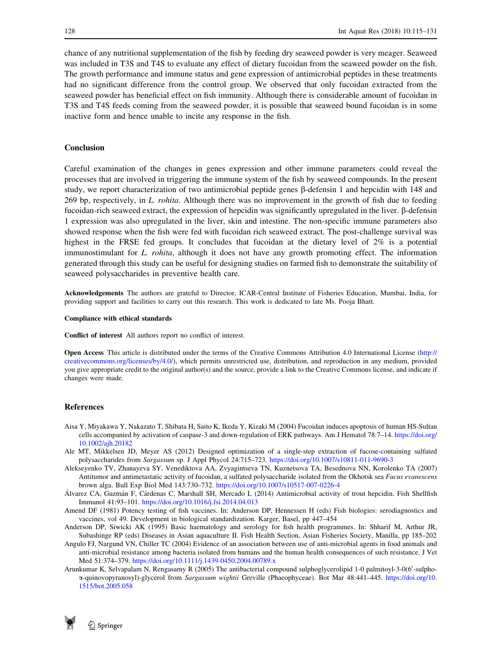<span id="page-13-0"></span>chance of any nutritional supplementation of the fish by feeding dry seaweed powder is very meager. Seaweed was included in T3S and T4S to evaluate any effect of dietary fucoidan from the seaweed powder on the fish. The growth performance and immune status and gene expression of antimicrobial peptides in these treatments had no significant difference from the control group. We observed that only fucoidan extracted from the seaweed powder has beneficial effect on fish immunity. Although there is considerable amount of fucoidan in T3S and T4S feeds coming from the seaweed powder, it is possible that seaweed bound fucoidan is in some inactive form and hence unable to incite any response in the fish.

#### **Conclusion**

Careful examination of the changes in genes expression and other immune parameters could reveal the processes that are involved in triggering the immune system of the fish by seaweed compounds. In the present study, we report characterization of two antimicrobial peptide genes  $\beta$ -defensin 1 and hepcidin with 148 and 269 bp, respectively, in L. rohita. Although there was no improvement in the growth of fish due to feeding fucoidan-rich seaweed extract, the expression of hepcidin was significantly upregulated in the liver. β-defensin 1 expression was also upregulated in the liver, skin and intestine. The non-specific immune parameters also showed response when the fish were fed with fucoidan rich seaweed extract. The post-challenge survival was highest in the FRSE fed groups. It concludes that fucoidan at the dietary level of 2% is a potential immunostimulant for L. rohita, although it does not have any growth promoting effect. The information generated through this study can be useful for designing studies on farmed fish to demonstrate the suitability of seaweed polysaccharides in preventive health care.

Acknowledgements The authors are grateful to Director, ICAR-Central Institute of Fisheries Education, Mumbai, India, for providing support and facilities to carry out this research. This work is dedicated to late Ms. Pooja Bhatt.

#### Compliance with ethical standards

Conflict of interest All authors report no conflict of interest.

Open Access This article is distributed under the terms of the Creative Commons Attribution 4.0 International License [\(http://](http://creativecommons.org/licenses/by/4.0/) [creativecommons.org/licenses/by/4.0/](http://creativecommons.org/licenses/by/4.0/)), which permits unrestricted use, distribution, and reproduction in any medium, provided you give appropriate credit to the original author(s) and the source, provide a link to the Creative Commons license, and indicate if changes were made.

#### **References**

- Aisa Y, Miyakawa Y, Nakazato T, Shibata H, Saito K, Ikeda Y, Kizaki M (2004) Fucoidan induces apoptosis of human HS-Sultan cells accompanied by activation of caspase-3 and down-regulation of ERK pathways. Am J Hematol 78:7–14. [https://doi.org/](https://doi.org/10.1002/ajh.20182) [10.1002/ajh.20182](https://doi.org/10.1002/ajh.20182)
- Ale MT, Mikkelsen JD, Meyer AS (2012) Designed optimization of a single-step extraction of fucose-containing sulfated polysaccharides from Sargassum sp. J Appl Phycol 24:715–723. <https://doi.org/10.1007/s10811-011-9690-3>
- Alekseyenko TV, Zhanayeva SY, Venediktova AA, Zvyagintseva TN, Kuznetsova TA, Besednova NN, Korolenko TA (2007) Antitumor and antimetastatic activity of fucoidan, a sulfated polysaccharide isolated from the Okhotsk sea Fucus evanescens brown alga. Bull Exp Biol Med 143:730–732. <https://doi.org/10.1007/s10517-007-0226-4>
- Álvarez CA, Guzmán F, Cárdenas C, Marshall SH, Mercado L (2014) Antimicrobial activity of trout hepcidin. Fish Shellfish Immunol 41:93–101. <https://doi.org/10.1016/j.fsi.2014.04.013>
- Amend DF (1981) Potency testing of fish vaccines. In: Anderson DP, Hennessen H (eds) Fish biologies: serodiagnostics and vaccines, vol 49. Development in biological standardization. Karger, Basel, pp 447–454
- Anderson DP, Siwicki AK (1995) Basic haematology and serology for fish health programmes. In: Shharif M, Arthur JR, Subashinge RP (eds) Diseases in Asian aquaculture II. Fish Health Section, Asian Fisheries Society, Manilla, pp 185–202
- Angulo FJ, Nargund VN, Chiller TC (2004) Evidence of an association between use of anti-microbial agents in food animals and anti-microbial resistance among bacteria isolated from humans and the human health consequences of such resistance. J Vet Med 51:374–379. <https://doi.org/10.1111/j.1439-0450.2004.00789.x>
- Arunkumar K, Selvapalam N, Rengasamy R (2005) The antibacterial compound sulphoglycerolipid 1-0 palmitoyl-3-0(6'-sulphoa-quinovopyranosyl)-glycerol from Sargassum wightii Greville (Phaeophyceae). Bot Mar 48:441–445. [https://doi.org/10.](https://doi.org/10.1515/bot.2005.058) [1515/bot.2005.058](https://doi.org/10.1515/bot.2005.058)

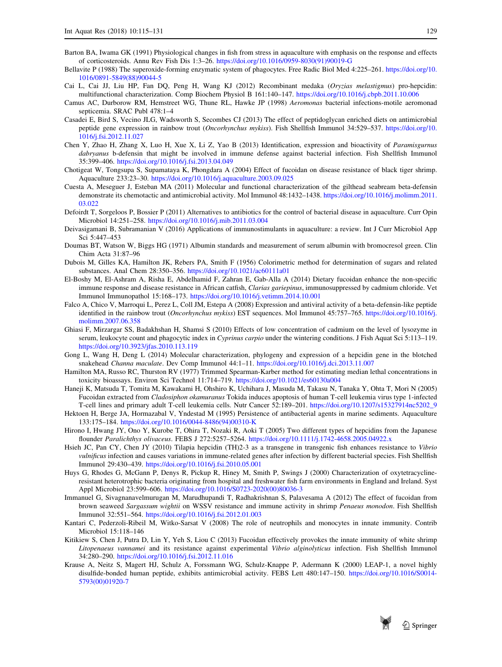- <span id="page-14-0"></span>Barton BA, Iwama GK (1991) Physiological changes in fish from stress in aquaculture with emphasis on the response and effects of corticosteroids. Annu Rev Fish Dis 1:3–26. [https://doi.org/10.1016/0959-8030\(91\)90019-G](https://doi.org/10.1016/0959-8030(91)90019-G)
- Bellavite P (1988) The superoxide-forming enzymatic system of phagocytes. Free Radic Biol Med 4:225–261. [https://doi.org/10.](https://doi.org/10.1016/0891-5849(88)90044-5) [1016/0891-5849\(88\)90044-5](https://doi.org/10.1016/0891-5849(88)90044-5)
- Cai L, Cai JJ, Liu HP, Fan DQ, Peng H, Wang KJ (2012) Recombinant medaka (Oryzias melastigmus) pro-hepcidin: multifunctional characterization. Comp Biochem Physiol B 161:140–147. <https://doi.org/10.1016/j.cbpb.2011.10.006>
- Camus AC, Durborow RM, Hemstreet WG, Thune RL, Hawke JP (1998) Aeromonas bacterial infections-motile aeromonad septicemia. SRAC Publ 478:1–4
- Casadei E, Bird S, Vecino JLG, Wadsworth S, Secombes CJ (2013) The effect of peptidoglycan enriched diets on antimicrobial peptide gene expression in rainbow trout (Oncorhynchus mykiss). Fish Shellfish Immunol 34:529–537. [https://doi.org/10.](https://doi.org/10.1016/j.fsi.2012.11.027) [1016/j.fsi.2012.11.027](https://doi.org/10.1016/j.fsi.2012.11.027)
- Chen Y, Zhao H, Zhang X, Luo H, Xue X, Li Z, Yao B (2013) Identification, expression and bioactivity of Paramisgurnus dabryanus b-defensin that might be involved in immune defense against bacterial infection. Fish Shellfish Immunol 35:399–406. <https://doi.org/10.1016/j.fsi.2013.04.049>
- Chotigeat W, Tongsupa S, Supamataya K, Phongdara A (2004) Effect of fucoidan on disease resistance of black tiger shrimp. Aquaculture 233:23–30. <https://doi.org/10.1016/j.aquaculture.2003.09.025>
- Cuesta A, Meseguer J, Esteban MA (2011) Molecular and functional characterization of the gilthead seabream beta-defensin demonstrate its chemotactic and antimicrobial activity. Mol Immunol 48:1432–1438. [https://doi.org/10.1016/j.molimm.2011.](https://doi.org/10.1016/j.molimm.2011.03.022) [03.022](https://doi.org/10.1016/j.molimm.2011.03.022)
- Defoirdt T, Sorgeloos P, Bossier P (2011) Alternatives to antibiotics for the control of bacterial disease in aquaculture. Curr Opin Microbiol 14:251–258. <https://doi.org/10.1016/j.mib.2011.03.004>
- Deivasigamani B, Subramanian V (2016) Applications of immunostimulants in aquaculture: a review. Int J Curr Microbiol App Sci 5:447–453
- Doumas BT, Watson W, Biggs HG (1971) Albumin standards and measurement of serum albumin with bromocresol green. Clin Chim Acta 31:87–96
- Dubois M, Gilles KA, Hamilton JK, Rebers PA, Smith F (1956) Colorimetric method for determination of sugars and related substances. Anal Chem 28:350–356. <https://doi.org/10.1021/ac60111a01>
- El-Boshy M, El-Ashram A, Risha E, Abdelhamid F, Zahran E, Gab-Alla A (2014) Dietary fucoidan enhance the non-specific immune response and disease resistance in African catfish, *Clarias gariepinus*, immunosuppressed by cadmium chloride. Vet Immunol Immunopathol 15:168–173. <https://doi.org/10.1016/j.vetimm.2014.10.001>
- Falco A, Chico V, Marroqui L, Perez L, Coll JM, Estepa A (2008) Expression and antiviral activity of a beta-defensin-like peptide identified in the rainbow trout (Oncorhynchus mykiss) EST sequences. Mol Immunol 45:757–765. [https://doi.org/10.1016/j.](https://doi.org/10.1016/j.molimm.2007.06.358) [molimm.2007.06.358](https://doi.org/10.1016/j.molimm.2007.06.358)
- Ghiasi F, Mirzargar SS, Badakhshan H, Shamsi S (2010) Effects of low concentration of cadmium on the level of lysozyme in serum, leukocyte count and phagocytic index in Cyprinus carpio under the wintering conditions. J Fish Aquat Sci 5:113–119. <https://doi.org/10.3923/jfas.2010.113.119>
- Gong L, Wang H, Deng L (2014) Molecular characterization, phylogeny and expression of a hepcidin gene in the blotched snakehead Channa maculate. Dev Comp Immunol 44:1–11. <https://doi.org/10.1016/j.dci.2013.11.007>
- Hamilton MA, Russo RC, Thurston RV (1977) Trimmed Spearman-Karber method for estimating median lethal concentrations in toxicity bioassays. Environ Sci Technol 11:714–719. <https://doi.org/10.1021/es60130a004>
- Haneji K, Matsuda T, Tomita M, Kawakami H, Ohshiro K, Uchihara J, Masuda M, Takasu N, Tanaka Y, Ohta T, Mori N (2005) Fucoidan extracted from Cladosiphon okamuranus Tokida induces apoptosis of human T-cell leukemia virus type 1-infected T-cell lines and primary adult T-cell leukemia cells. Nutr Cancer 52:189–201. [https://doi.org/10.1207/s15327914nc5202\\_9](https://doi.org/10.1207/s15327914nc5202_9)
- Hektoen H, Berge JA, Hormazabal V, Yndestad M (1995) Persistence of antibacterial agents in marine sediments. Aquaculture 133:175–184. [https://doi.org/10.1016/0044-8486\(94\)00310-K](https://doi.org/10.1016/0044-8486(94)00310-K)
- Hirono I, Hwang JY, Ono Y, Kurobe T, Ohira T, Nozaki R, Aoki T (2005) Two different types of hepcidins from the Japanese flounder Paralichthys olivaceus. FEBS J 272:5257–5264. <https://doi.org/10.1111/j.1742-4658.2005.04922.x>
- Hsieh JC, Pan CY, Chen JY (2010) Tilapia hepcidin (TH)2-3 as a transgene in transgenic fish enhances resistance to Vibrio vulnificus infection and causes variations in immune-related genes after infection by different bacterial species. Fish Shellfish Immunol 29:430–439. <https://doi.org/10.1016/j.fsi.2010.05.001>
- Huys G, Rhodes G, McGann P, Denys R, Pickup R, Hiney M, Smith P, Swings J (2000) Characterization of oxytetracyclineresistant heterotrophic bacteria originating from hospital and freshwater fish farm environments in England and Ireland. Syst Appl Microbiol 23:599–606. [https://doi.org/10.1016/S0723-2020\(00\)80036-3](https://doi.org/10.1016/S0723-2020(00)80036-3)
- Immanuel G, Sivagnanavelmurugan M, Marudhupandi T, Radhakrishnan S, Palavesama A (2012) The effect of fucoidan from brown seaweed Sargassum wightii on WSSV resistance and immune activity in shrimp Penaeus monodon. Fish Shellfish Immunol 32:551–564. <https://doi.org/10.1016/j.fsi.2012.01.003>
- Kantari C, Pederzoli-Ribeil M, Witko-Sarsat V (2008) The role of neutrophils and monocytes in innate immunity. Contrib Microbiol 15:118–146
- Kitikiew S, Chen J, Putra D, Lin Y, Yeh S, Liou C (2013) Fucoidan effectively provokes the innate immunity of white shrimp Litopenaeus vannamei and its resistance against experimental Vibrio alginolyticus infection. Fish Shellfish Immunol 34:280–290. <https://doi.org/10.1016/j.fsi.2012.11.016>
- Krause A, Neitz S, Magert HJ, Schulz A, Forssmann WG, Schulz-Knappe P, Adermann K (2000) LEAP-1, a novel highly disulfide-bonded human peptide, exhibits antimicrobial activity. FEBS Lett 480:147–150. [https://doi.org/10.1016/S0014-](https://doi.org/10.1016/S0014-5793(00)01920-7) [5793\(00\)01920-7](https://doi.org/10.1016/S0014-5793(00)01920-7)

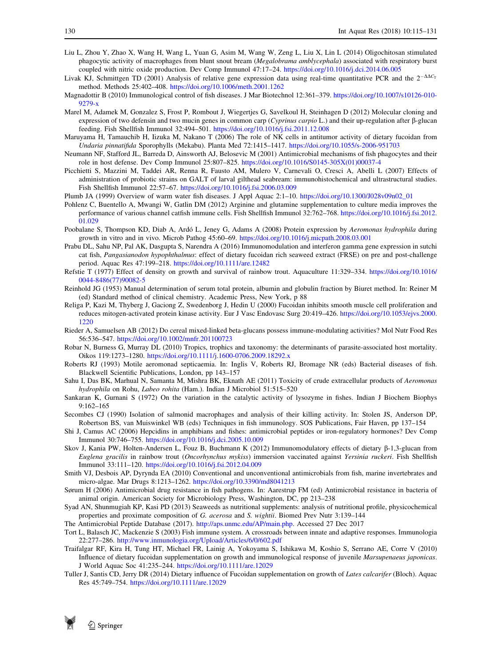- <span id="page-15-0"></span>Liu L, Zhou Y, Zhao X, Wang H, Wang L, Yuan G, Asim M, Wang W, Zeng L, Liu X, Lin L (2014) Oligochitosan stimulated phagocytic activity of macrophages from blunt snout bream (Megalobrama amblycephala) associated with respiratory burst coupled with nitric oxide production. Dev Comp Immunol 47:17–24. <https://doi.org/10.1016/j.dci.2014.06.005>
- Livak KJ, Schmittgen TD (2001) Analysis of relative gene expression data using real-time quantitative PCR and the  $2^{-\Delta\Delta C_T}$ method. Methods 25:402–408. <https://doi.org/10.1006/meth.2001.1262>
- Magnadottir B (2010) Immunological control of fish diseases. J Mar Biotechnol 12:361–379. [https://doi.org/10.1007/s10126-010-](https://doi.org/10.1007/s10126-010-9279-x) [9279-x](https://doi.org/10.1007/s10126-010-9279-x)
- Marel M, Adamek M, Gonzalez S, Frost P, Rombout J, Wiegertjes G, Savelkoul H, Steinhagen D (2012) Molecular cloning and expression of two defensin and two mucin genes in common carp (Cyprinus carpio L.) and their up-regulation after  $\beta$ -glucan feeding. Fish Shellfish Immunol 32:494–501. <https://doi.org/10.1016/j.fsi.2011.12.008>
- Maruyama H, Tamauchib H, Iizuka M, Nakano T (2006) The role of NK cells in antitumor activity of dietary fucoidan from Undaria pinnatifida Sporophylls (Mekabu). Planta Med 72:1415–1417. <https://doi.org/10.1055/s-2006-951703>
- Neumann NF, Stafford JL, Barreda D, Ainsworth AJ, Belosevic M (2001) Antimicrobial mechanisms of fish phagocytes and their role in host defense. Dev Comp Immunol 25:807–825. [https://doi.org/10.1016/S0145-305X\(01\)00037-4](https://doi.org/10.1016/S0145-305X(01)00037-4)
- Picchietti S, Mazzini M, Taddei AR, Renna R, Fausto AM, Mulero V, Carnevali O, Cresci A, Abelli L (2007) Effects of administration of probiotic strains on GALT of larval gilthead seabream: immunohistochemical and ultrastructural studies. Fish Shellfish Immunol 22:57–67. <https://doi.org/10.1016/j.fsi.2006.03.009>
- Plumb JA (1999) Overview of warm water fish diseases. J Appl Aquac 2:1–10. [https://doi.org/10.1300/J028v09n02\\_01](https://doi.org/10.1300/J028v09n02_01)
- Pohlenz C, Buentello A, Mwangi W, Gatlin DM (2012) Arginine and glutamine supplementation to culture media improves the performance of various channel catfish immune cells. Fish Shellfish Immunol 32:762–768. [https://doi.org/10.1016/j.fsi.2012.](https://doi.org/10.1016/j.fsi.2012.01.029) [01.029](https://doi.org/10.1016/j.fsi.2012.01.029)
- Poobalane S, Thompson KD, Diab A, Ardó L, Jeney G, Adams A (2008) Protein expression by Aeromonas hydrophila during growth in vitro and in vivo. Microb Pathog 45:60–69. <https://doi.org/10.1016/j.micpath.2008.03.001>
- Prabu DL, Sahu NP, Pal AK, Dasgupta S, Narendra A (2016) Immunomodulation and interferon gamma gene expression in sutchi cat fish, Pangasianodon hypophthalmus: effect of dietary fucoidan rich seaweed extract (FRSE) on pre and post-challenge period. Aquac Res 47:199–218. <https://doi.org/10.1111/are.12482>
- Refstie T (1977) Effect of density on growth and survival of rainbow trout. Aquaculture 11:329–334. [https://doi.org/10.1016/](https://doi.org/10.1016/0044-8486(77)90082-5) [0044-8486\(77\)90082-5](https://doi.org/10.1016/0044-8486(77)90082-5)
- Reinhold JG (1953) Manual determination of serum total protein, albumin and globulin fraction by Biuret method. In: Reiner M (ed) Standard method of clinical chemistry. Academic Press, New York, p 88
- Religa P, Kazi M, Thyberg J, Gaciong Z, Swedenborg J, Hedin U (2000) Fucoidan inhibits smooth muscle cell proliferation and reduces mitogen-activated protein kinase activity. Eur J Vasc Endovasc Surg 20:419–426. [https://doi.org/10.1053/ejvs.2000.](https://doi.org/10.1053/ejvs.2000.1220) [1220](https://doi.org/10.1053/ejvs.2000.1220)

Rieder A, Samuelsen AB (2012) Do cereal mixed-linked beta-glucans possess immune-modulating activities? Mol Nutr Food Res 56:536–547. <https://doi.org/10.1002/mnfr.201100723>

- Robar N, Burness G, Murray DL (2010) Tropics, trophics and taxonomy: the determinants of parasite-associated host mortality. Oikos 119:1273–1280. <https://doi.org/10.1111/j.1600-0706.2009.18292.x>
- Roberts RJ (1993) Motile aeromonad septicaemia. In: Inglis V, Roberts RJ, Bromage NR (eds) Bacterial diseases of fish. Blackwell Scientific Publications, London, pp 143–157
- Sahu I, Das BK, Marhual N, Samanta M, Mishra BK, Eknath AE (2011) Toxicity of crude extracellular products of Aeromonas hydrophila on Rohu, Labeo rohita (Ham.). Indian J Microbiol 51:515–520
- Sankaran K, Gurnani S (1972) On the variation in the catalytic activity of lysozyme in fishes. Indian J Biochem Biophys 9:162–165
- Secombes CJ (1990) Isolation of salmonid macrophages and analysis of their killing activity. In: Stolen JS, Anderson DP, Robertson BS, van Muiswinkel WB (eds) Techniques in fish immunology. SOS Publications, Fair Haven, pp 137–154
- Shi J, Camus AC (2006) Hepcidins in amphibians and fishes: antimicrobial peptides or iron-regulatory hormones? Dev Comp Immunol 30:746–755. <https://doi.org/10.1016/j.dci.2005.10.009>
- Skov J, Kania PW, Holten-Andersen L, Fouz B, Buchmann K (2012) Immunomodulatory effects of dietary  $\beta$ -1,3-glucan from Euglena gracilis in rainbow trout (Oncorhynchus mykiss) immersion vaccinated against Yersinia ruckeri. Fish Shellfish Immunol 33:111–120. <https://doi.org/10.1016/j.fsi.2012.04.009>
- Smith VJ, Desbois AP, Dyrynda EA (2010) Conventional and unconventional antimicrobials from fish, marine invertebrates and micro-algae. Mar Drugs 8:1213–1262. <https://doi.org/10.3390/md8041213>
- Sørum H (2006) Antimicrobial drug resistance in fish pathogens. In: Aarestrup FM (ed) Antimicrobial resistance in bacteria of animal origin. American Society for Microbiology Press, Washington, DC, pp 213–238
- Syad AN, Shunmugiah KP, Kasi PD (2013) Seaweeds as nutritional supplements: analysis of nutritional profile, physicochemical properties and proximate composition of G. acerosa and S. wightii. Biomed Prev Nutr 3:139–144
- The Antimicrobial Peptide Database (2017). <http://aps.unmc.edu/AP/main.php>. Accessed 27 Dec 2017
- Tort L, Balasch JC, Mackenzie S (2003) Fish immune system. A crossroads between innate and adaptive responses. Immunologia 22:277–286. <http://www.inmunologia.org/Upload/Articles/6/0/602.pdf>
- Traifalgar RF, Kira H, Tung HT, Michael FR, Lainig A, Yokoyama S, Ishikawa M, Koshio S, Serrano AE, Corre V (2010) Influence of dietary fucoidan supplementation on growth and immunological response of juvenile Marsupenaeus japonicas. J World Aquac Soc 41:235–244. <https://doi.org/10.1111/are.12029>
- Tuller J, Santis CD, Jerry DR (2014) Dietary influence of Fucoidan supplementation on growth of Lates calcarifer (Bloch). Aquac Res 45:749–754. <https://doi.org/10.1111/are.12029>